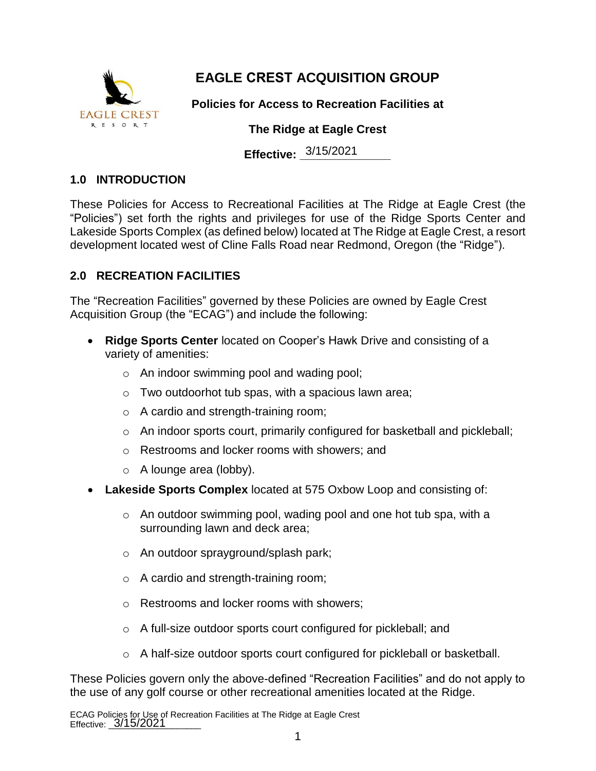

## **EAGLE CREST ACQUISITION GROUP**

**Policies for Access to Recreation Facilities at**

#### **The Ridge at Eagle Crest**

**Effective:** 3/15/2021

#### **1.0 INTRODUCTION**

These Policies for Access to Recreational Facilities at The Ridge at Eagle Crest (the "Policies") set forth the rights and privileges for use of the Ridge Sports Center and Lakeside Sports Complex (as defined below) located at The Ridge at Eagle Crest, a resort development located west of Cline Falls Road near Redmond, Oregon (the "Ridge").

### **2.0 RECREATION FACILITIES**

The "Recreation Facilities" governed by these Policies are owned by Eagle Crest Acquisition Group (the "ECAG") and include the following:

- **Ridge Sports Center** located on Cooper's Hawk Drive and consisting of a variety of amenities:
	- o An indoor swimming pool and wading pool;
	- o Two outdoorhot tub spas, with a spacious lawn area;
	- o A cardio and strength-training room;
	- $\circ$  An indoor sports court, primarily configured for basketball and pickleball;
	- o Restrooms and locker rooms with showers; and
	- o A lounge area (lobby).
- **Lakeside Sports Complex** located at 575 Oxbow Loop and consisting of:
	- $\circ$  An outdoor swimming pool, wading pool and one hot tub spa, with a surrounding lawn and deck area;
	- o An outdoor sprayground/splash park;
	- o A cardio and strength-training room;
	- o Restrooms and locker rooms with showers;
	- o A full-size outdoor sports court configured for pickleball; and
	- o A half-size outdoor sports court configured for pickleball or basketball.

These Policies govern only the above-defined "Recreation Facilities" and do not apply to the use of any golf course or other recreational amenities located at the Ridge.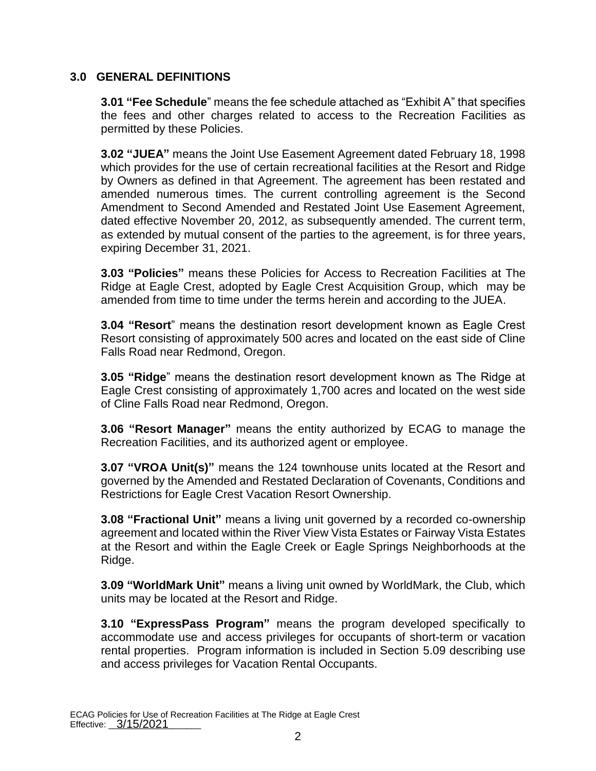#### **3.0 GENERAL DEFINITIONS**

**3.01 "Fee Schedule**" means the fee schedule attached as "Exhibit A" that specifies the fees and other charges related to access to the Recreation Facilities as permitted by these Policies.

**3.02 "JUEA"** means the Joint Use Easement Agreement dated February 18, 1998 which provides for the use of certain recreational facilities at the Resort and Ridge by Owners as defined in that Agreement. The agreement has been restated and amended numerous times. The current controlling agreement is the Second Amendment to Second Amended and Restated Joint Use Easement Agreement, dated effective November 20, 2012, as subsequently amended. The current term, as extended by mutual consent of the parties to the agreement, is for three years, expiring December 31, 2021.

**3.03 "Policies"** means these Policies for Access to Recreation Facilities at The Ridge at Eagle Crest, adopted by Eagle Crest Acquisition Group, which may be amended from time to time under the terms herein and according to the JUEA.

**3.04 "Resort**" means the destination resort development known as Eagle Crest Resort consisting of approximately 500 acres and located on the east side of Cline Falls Road near Redmond, Oregon.

**3.05 "Ridge**" means the destination resort development known as The Ridge at Eagle Crest consisting of approximately 1,700 acres and located on the west side of Cline Falls Road near Redmond, Oregon.

**3.06 "Resort Manager"** means the entity authorized by ECAG to manage the Recreation Facilities, and its authorized agent or employee.

**3.07 "VROA Unit(s)"** means the 124 townhouse units located at the Resort and governed by the Amended and Restated Declaration of Covenants, Conditions and Restrictions for Eagle Crest Vacation Resort Ownership.

**3.08 "Fractional Unit"** means a living unit governed by a recorded co-ownership agreement and located within the River View Vista Estates or Fairway Vista Estates at the Resort and within the Eagle Creek or Eagle Springs Neighborhoods at the Ridge.

**3.09 "WorldMark Unit"** means a living unit owned by WorldMark, the Club, which units may be located at the Resort and Ridge.

**3.10 "ExpressPass Program"** means the program developed specifically to accommodate use and access privileges for occupants of short-term or vacation rental properties. Program information is included in Section 5.09 describing use and access privileges for Vacation Rental Occupants.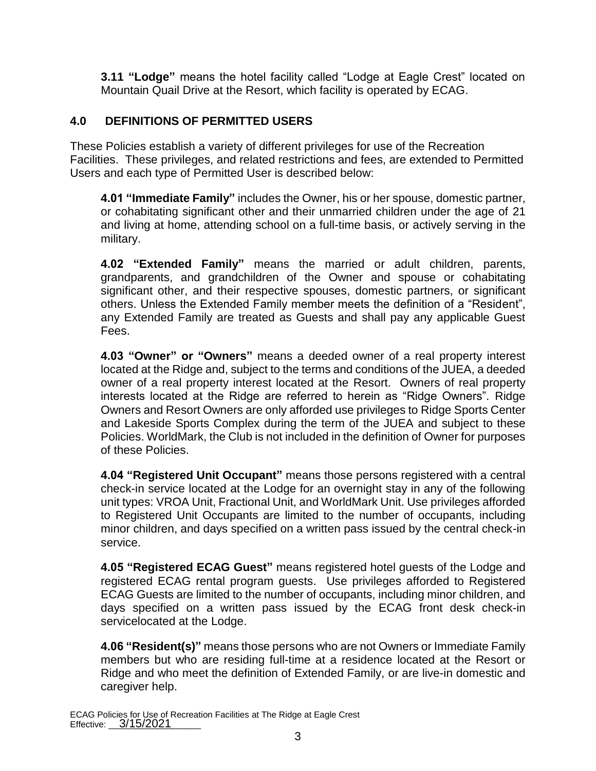**3.11 "Lodge"** means the hotel facility called "Lodge at Eagle Crest" located on Mountain Quail Drive at the Resort, which facility is operated by ECAG.

#### **4.0 DEFINITIONS OF PERMITTED USERS**

These Policies establish a variety of different privileges for use of the Recreation Facilities. These privileges, and related restrictions and fees, are extended to Permitted Users and each type of Permitted User is described below:

**4.01 "Immediate Family"** includes the Owner, his or her spouse, domestic partner, or cohabitating significant other and their unmarried children under the age of 21 and living at home, attending school on a full-time basis, or actively serving in the military.

**4.02 "Extended Family"** means the married or adult children, parents, grandparents, and grandchildren of the Owner and spouse or cohabitating significant other, and their respective spouses, domestic partners, or significant others. Unless the Extended Family member meets the definition of a "Resident", any Extended Family are treated as Guests and shall pay any applicable Guest Fees.

**4.03 "Owner" or "Owners"** means a deeded owner of a real property interest located at the Ridge and, subject to the terms and conditions of the JUEA, a deeded owner of a real property interest located at the Resort. Owners of real property interests located at the Ridge are referred to herein as "Ridge Owners". Ridge Owners and Resort Owners are only afforded use privileges to Ridge Sports Center and Lakeside Sports Complex during the term of the JUEA and subject to these Policies. WorldMark, the Club is not included in the definition of Owner for purposes of these Policies.

**4.04 "Registered Unit Occupant"** means those persons registered with a central check-in service located at the Lodge for an overnight stay in any of the following unit types: VROA Unit, Fractional Unit, and WorldMark Unit. Use privileges afforded to Registered Unit Occupants are limited to the number of occupants, including minor children, and days specified on a written pass issued by the central check-in service.

**4.05 "Registered ECAG Guest"** means registered hotel guests of the Lodge and registered ECAG rental program guests. Use privileges afforded to Registered ECAG Guests are limited to the number of occupants, including minor children, and days specified on a written pass issued by the ECAG front desk check-in servicelocated at the Lodge.

**4.06 "Resident(s)"** means those persons who are not Owners or Immediate Family members but who are residing full-time at a residence located at the Resort or Ridge and who meet the definition of Extended Family, or are live-in domestic and caregiver help.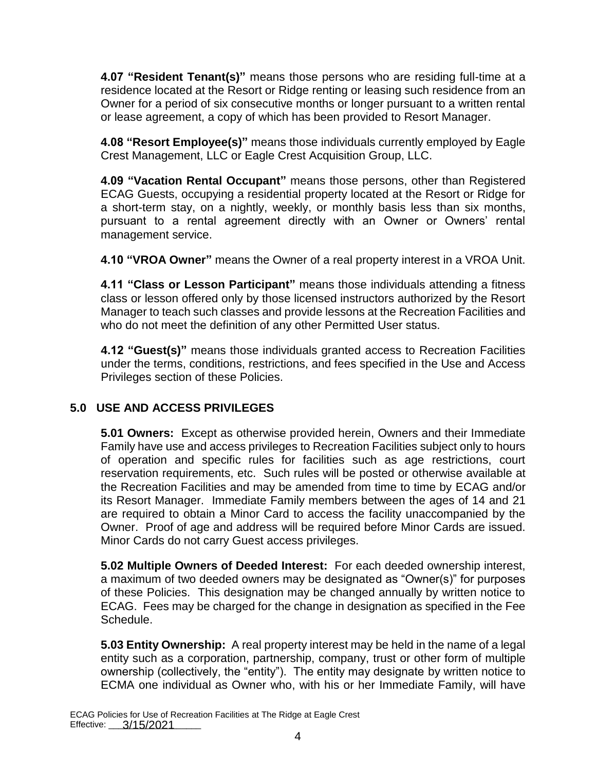**4.07 "Resident Tenant(s)"** means those persons who are residing full-time at a residence located at the Resort or Ridge renting or leasing such residence from an Owner for a period of six consecutive months or longer pursuant to a written rental or lease agreement, a copy of which has been provided to Resort Manager.

**4.08 "Resort Employee(s)"** means those individuals currently employed by Eagle Crest Management, LLC or Eagle Crest Acquisition Group, LLC.

**4.09 "Vacation Rental Occupant"** means those persons, other than Registered ECAG Guests, occupying a residential property located at the Resort or Ridge for a short-term stay, on a nightly, weekly, or monthly basis less than six months, pursuant to a rental agreement directly with an Owner or Owners' rental management service.

**4.10 "VROA Owner"** means the Owner of a real property interest in a VROA Unit.

**4.11 "Class or Lesson Participant"** means those individuals attending a fitness class or lesson offered only by those licensed instructors authorized by the Resort Manager to teach such classes and provide lessons at the Recreation Facilities and who do not meet the definition of any other Permitted User status.

**4.12 "Guest(s)"** means those individuals granted access to Recreation Facilities under the terms, conditions, restrictions, and fees specified in the Use and Access Privileges section of these Policies.

### **5.0 USE AND ACCESS PRIVILEGES**

**5.01 Owners:** Except as otherwise provided herein, Owners and their Immediate Family have use and access privileges to Recreation Facilities subject only to hours of operation and specific rules for facilities such as age restrictions, court reservation requirements, etc. Such rules will be posted or otherwise available at the Recreation Facilities and may be amended from time to time by ECAG and/or its Resort Manager. Immediate Family members between the ages of 14 and 21 are required to obtain a Minor Card to access the facility unaccompanied by the Owner. Proof of age and address will be required before Minor Cards are issued. Minor Cards do not carry Guest access privileges.

**5.02 Multiple Owners of Deeded Interest:** For each deeded ownership interest, a maximum of two deeded owners may be designated as "Owner(s)" for purposes of these Policies. This designation may be changed annually by written notice to ECAG. Fees may be charged for the change in designation as specified in the Fee Schedule.

**5.03 Entity Ownership:** A real property interest may be held in the name of a legal entity such as a corporation, partnership, company, trust or other form of multiple ownership (collectively, the "entity"). The entity may designate by written notice to ECMA one individual as Owner who, with his or her Immediate Family, will have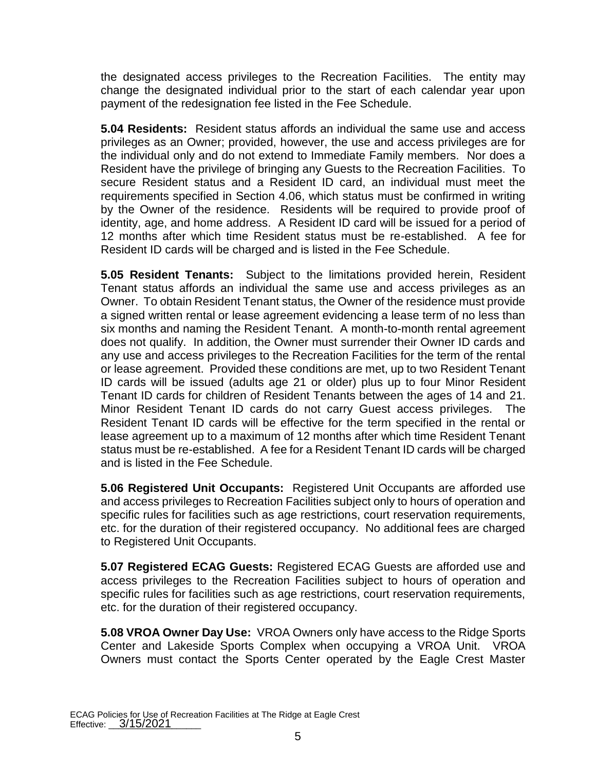the designated access privileges to the Recreation Facilities. The entity may change the designated individual prior to the start of each calendar year upon payment of the redesignation fee listed in the Fee Schedule.

**5.04 Residents:** Resident status affords an individual the same use and access privileges as an Owner; provided, however, the use and access privileges are for the individual only and do not extend to Immediate Family members. Nor does a Resident have the privilege of bringing any Guests to the Recreation Facilities. To secure Resident status and a Resident ID card, an individual must meet the requirements specified in Section 4.06, which status must be confirmed in writing by the Owner of the residence. Residents will be required to provide proof of identity, age, and home address. A Resident ID card will be issued for a period of 12 months after which time Resident status must be re-established. A fee for Resident ID cards will be charged and is listed in the Fee Schedule.

**5.05 Resident Tenants:** Subject to the limitations provided herein, Resident Tenant status affords an individual the same use and access privileges as an Owner. To obtain Resident Tenant status, the Owner of the residence must provide a signed written rental or lease agreement evidencing a lease term of no less than six months and naming the Resident Tenant. A month-to-month rental agreement does not qualify. In addition, the Owner must surrender their Owner ID cards and any use and access privileges to the Recreation Facilities for the term of the rental or lease agreement. Provided these conditions are met, up to two Resident Tenant ID cards will be issued (adults age 21 or older) plus up to four Minor Resident Tenant ID cards for children of Resident Tenants between the ages of 14 and 21. Minor Resident Tenant ID cards do not carry Guest access privileges. The Resident Tenant ID cards will be effective for the term specified in the rental or lease agreement up to a maximum of 12 months after which time Resident Tenant status must be re-established. A fee for a Resident Tenant ID cards will be charged and is listed in the Fee Schedule.

**5.06 Registered Unit Occupants:** Registered Unit Occupants are afforded use and access privileges to Recreation Facilities subject only to hours of operation and specific rules for facilities such as age restrictions, court reservation requirements, etc. for the duration of their registered occupancy. No additional fees are charged to Registered Unit Occupants.

**5.07 Registered ECAG Guests:** Registered ECAG Guests are afforded use and access privileges to the Recreation Facilities subject to hours of operation and specific rules for facilities such as age restrictions, court reservation requirements, etc. for the duration of their registered occupancy.

**5.08 VROA Owner Day Use:** VROA Owners only have access to the Ridge Sports Center and Lakeside Sports Complex when occupying a VROA Unit. VROA Owners must contact the Sports Center operated by the Eagle Crest Master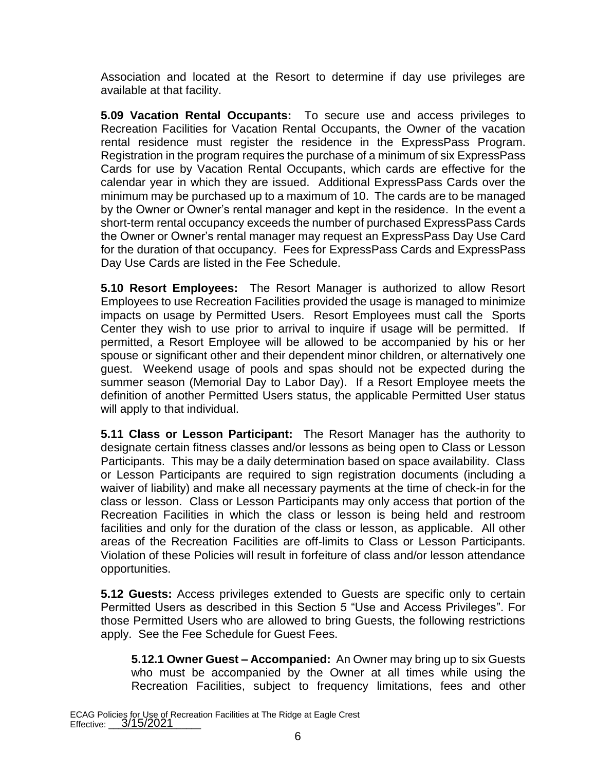Association and located at the Resort to determine if day use privileges are available at that facility.

**5.09 Vacation Rental Occupants:** To secure use and access privileges to Recreation Facilities for Vacation Rental Occupants, the Owner of the vacation rental residence must register the residence in the ExpressPass Program. Registration in the program requires the purchase of a minimum of six ExpressPass Cards for use by Vacation Rental Occupants, which cards are effective for the calendar year in which they are issued. Additional ExpressPass Cards over the minimum may be purchased up to a maximum of 10. The cards are to be managed by the Owner or Owner's rental manager and kept in the residence. In the event a short-term rental occupancy exceeds the number of purchased ExpressPass Cards the Owner or Owner's rental manager may request an ExpressPass Day Use Card for the duration of that occupancy. Fees for ExpressPass Cards and ExpressPass Day Use Cards are listed in the Fee Schedule.

**5.10 Resort Employees:** The Resort Manager is authorized to allow Resort Employees to use Recreation Facilities provided the usage is managed to minimize impacts on usage by Permitted Users. Resort Employees must call the Sports Center they wish to use prior to arrival to inquire if usage will be permitted. If permitted, a Resort Employee will be allowed to be accompanied by his or her spouse or significant other and their dependent minor children, or alternatively one guest. Weekend usage of pools and spas should not be expected during the summer season (Memorial Day to Labor Day). If a Resort Employee meets the definition of another Permitted Users status, the applicable Permitted User status will apply to that individual.

**5.11 Class or Lesson Participant:** The Resort Manager has the authority to designate certain fitness classes and/or lessons as being open to Class or Lesson Participants. This may be a daily determination based on space availability. Class or Lesson Participants are required to sign registration documents (including a waiver of liability) and make all necessary payments at the time of check-in for the class or lesson. Class or Lesson Participants may only access that portion of the Recreation Facilities in which the class or lesson is being held and restroom facilities and only for the duration of the class or lesson, as applicable. All other areas of the Recreation Facilities are off-limits to Class or Lesson Participants. Violation of these Policies will result in forfeiture of class and/or lesson attendance opportunities.

**5.12 Guests:** Access privileges extended to Guests are specific only to certain Permitted Users as described in this Section 5 "Use and Access Privileges". For those Permitted Users who are allowed to bring Guests, the following restrictions apply. See the Fee Schedule for Guest Fees.

**5.12.1 Owner Guest – Accompanied:** An Owner may bring up to six Guests who must be accompanied by the Owner at all times while using the Recreation Facilities, subject to frequency limitations, fees and other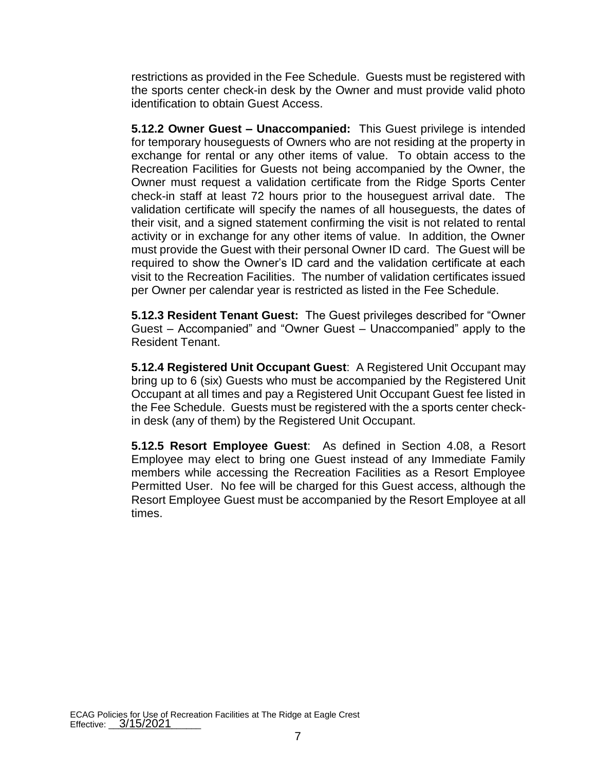restrictions as provided in the Fee Schedule. Guests must be registered with the sports center check-in desk by the Owner and must provide valid photo identification to obtain Guest Access.

**5.12.2 Owner Guest – Unaccompanied:** This Guest privilege is intended for temporary houseguests of Owners who are not residing at the property in exchange for rental or any other items of value. To obtain access to the Recreation Facilities for Guests not being accompanied by the Owner, the Owner must request a validation certificate from the Ridge Sports Center check-in staff at least 72 hours prior to the houseguest arrival date. The validation certificate will specify the names of all houseguests, the dates of their visit, and a signed statement confirming the visit is not related to rental activity or in exchange for any other items of value. In addition, the Owner must provide the Guest with their personal Owner ID card. The Guest will be required to show the Owner's ID card and the validation certificate at each visit to the Recreation Facilities. The number of validation certificates issued per Owner per calendar year is restricted as listed in the Fee Schedule.

**5.12.3 Resident Tenant Guest:** The Guest privileges described for "Owner Guest – Accompanied" and "Owner Guest – Unaccompanied" apply to the Resident Tenant.

**5.12.4 Registered Unit Occupant Guest**: A Registered Unit Occupant may bring up to 6 (six) Guests who must be accompanied by the Registered Unit Occupant at all times and pay a Registered Unit Occupant Guest fee listed in the Fee Schedule. Guests must be registered with the a sports center checkin desk (any of them) by the Registered Unit Occupant.

**5.12.5 Resort Employee Guest**: As defined in Section 4.08, a Resort Employee may elect to bring one Guest instead of any Immediate Family members while accessing the Recreation Facilities as a Resort Employee Permitted User. No fee will be charged for this Guest access, although the Resort Employee Guest must be accompanied by the Resort Employee at all times.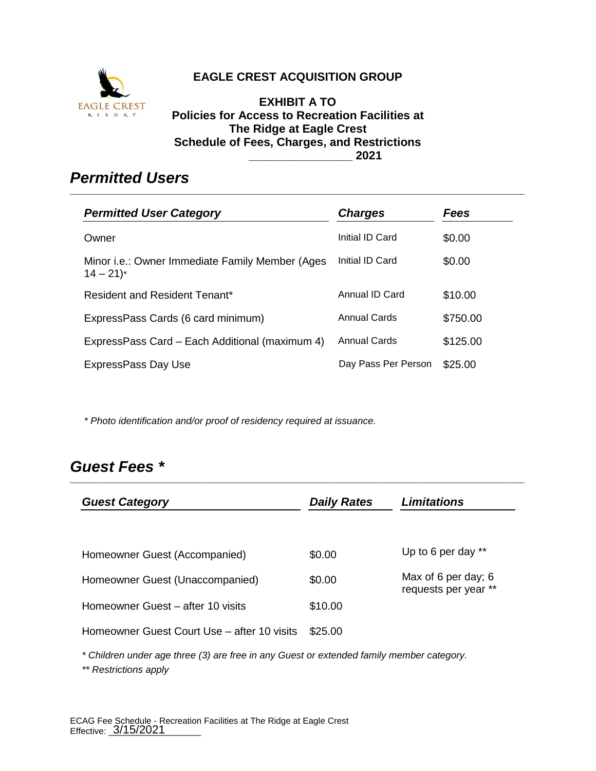

### **EAGLE CREST ACQUISITION GROUP**

**EXHIBIT A TO Policies for Access to Recreation Facilities at The Ridge at Eagle Crest Schedule of Fees, Charges, and Restrictions \_\_\_\_\_\_\_\_\_\_\_\_\_\_\_\_ 2021**

\_\_\_\_\_\_\_\_\_\_\_\_\_\_\_\_\_\_\_\_\_\_\_\_\_\_\_\_\_\_\_\_\_\_\_\_\_\_\_\_\_\_\_\_\_\_\_\_\_\_\_\_\_\_\_\_\_\_\_\_\_\_\_\_\_\_\_\_\_\_\_\_\_\_\_\_\_\_\_\_\_\_\_\_\_\_\_\_\_\_\_\_\_\_\_\_\_\_\_\_\_\_\_\_\_\_\_\_\_\_\_\_\_\_\_\_\_\_\_\_

## *Permitted Users*

| <b>Permitted User Category</b>                                            | <b>Charges</b>      | Fees     |
|---------------------------------------------------------------------------|---------------------|----------|
| Owner                                                                     | Initial ID Card     | \$0.00   |
| Minor i.e.: Owner Immediate Family Member (Ages<br>$14 - 21$ <sup>*</sup> | Initial ID Card     | \$0.00   |
| Resident and Resident Tenant*                                             | Annual ID Card      | \$10.00  |
| ExpressPass Cards (6 card minimum)                                        | <b>Annual Cards</b> | \$750.00 |
| ExpressPass Card - Each Additional (maximum 4)                            | <b>Annual Cards</b> | \$125.00 |
| ExpressPass Day Use                                                       | Day Pass Per Person | \$25.00  |

*\* Photo identification and/or proof of residency required at issuance.*

## *Guest Fees \**

| <b>Guest Category</b>                       | <b>Daily Rates</b> | <b>Limitations</b>                          |
|---------------------------------------------|--------------------|---------------------------------------------|
| Homeowner Guest (Accompanied)               | \$0.00             | Up to 6 per day **                          |
| Homeowner Guest (Unaccompanied)             | \$0.00             | Max of 6 per day; 6<br>requests per year ** |
| Homeowner Guest – after 10 visits           | \$10.00            |                                             |
| Homeowner Guest Court Use – after 10 visits | \$25.00            |                                             |
|                                             |                    |                                             |

\_\_\_\_\_\_\_\_\_\_\_\_\_\_\_\_\_\_\_\_\_\_\_\_\_\_\_\_\_\_\_\_\_\_\_\_\_\_\_\_\_\_\_\_\_\_\_\_\_\_\_\_\_\_\_\_\_\_\_\_\_\_\_\_\_\_\_\_\_\_\_\_\_\_\_\_\_\_\_\_\_\_\_\_\_\_\_\_\_\_\_\_\_\_\_\_\_\_\_\_\_\_\_\_\_\_\_\_\_\_\_\_\_\_\_\_\_\_\_\_

*\* Children under age three (3) are free in any Guest or extended family member category.*

*\*\* Restrictions apply*